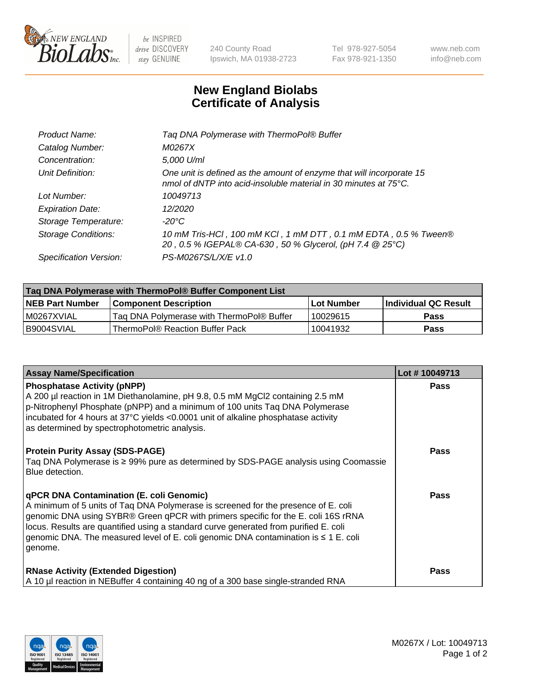

 $be$  INSPIRED drive DISCOVERY stay GENUINE

240 County Road Ipswich, MA 01938-2723 Tel 978-927-5054 Fax 978-921-1350 www.neb.com info@neb.com

## **New England Biolabs Certificate of Analysis**

| Taq DNA Polymerase with ThermoPol® Buffer                                                                                                |
|------------------------------------------------------------------------------------------------------------------------------------------|
| M0267X                                                                                                                                   |
| 5,000 U/ml                                                                                                                               |
| One unit is defined as the amount of enzyme that will incorporate 15<br>nmol of dNTP into acid-insoluble material in 30 minutes at 75°C. |
| 10049713                                                                                                                                 |
| 12/2020                                                                                                                                  |
| $-20^{\circ}$ C                                                                                                                          |
| 10 mM Tris-HCl, 100 mM KCl, 1 mM DTT, 0.1 mM EDTA, 0.5 % Tween®<br>20, 0.5 % IGEPAL® CA-630, 50 % Glycerol, (pH 7.4 @ 25°C)              |
| PS-M0267S/L/X/E v1.0                                                                                                                     |
|                                                                                                                                          |

| Taq DNA Polymerase with ThermoPol® Buffer Component List |                                           |                   |                      |  |  |
|----------------------------------------------------------|-------------------------------------------|-------------------|----------------------|--|--|
| <b>NEB Part Number</b>                                   | <b>Component Description</b>              | <b>Lot Number</b> | Individual QC Result |  |  |
| I M0267XVIAL                                             | Tag DNA Polymerase with ThermoPol® Buffer | 10029615          | <b>Pass</b>          |  |  |
| B9004SVIAL                                               | ThermoPol® Reaction Buffer Pack           | 10041932          | Pass                 |  |  |

| <b>Assay Name/Specification</b>                                                                                                                                                                                                                                                                                                                                                                                           | Lot #10049713 |
|---------------------------------------------------------------------------------------------------------------------------------------------------------------------------------------------------------------------------------------------------------------------------------------------------------------------------------------------------------------------------------------------------------------------------|---------------|
| <b>Phosphatase Activity (pNPP)</b><br>A 200 µl reaction in 1M Diethanolamine, pH 9.8, 0.5 mM MgCl2 containing 2.5 mM<br>$\vert$ p-Nitrophenyl Phosphate (pNPP) and a minimum of 100 units Taq DNA Polymerase<br>incubated for 4 hours at 37°C yields <0.0001 unit of alkaline phosphatase activity<br>as determined by spectrophotometric analysis.                                                                       | <b>Pass</b>   |
| <b>Protein Purity Assay (SDS-PAGE)</b><br>Taq DNA Polymerase is ≥ 99% pure as determined by SDS-PAGE analysis using Coomassie<br>Blue detection.                                                                                                                                                                                                                                                                          | <b>Pass</b>   |
| <b>qPCR DNA Contamination (E. coli Genomic)</b><br>A minimum of 5 units of Taq DNA Polymerase is screened for the presence of E. coli<br>genomic DNA using SYBR® Green qPCR with primers specific for the E. coli 16S rRNA<br>locus. Results are quantified using a standard curve generated from purified E. coli<br>genomic DNA. The measured level of E. coli genomic DNA contamination is $\leq 1$ E. coli<br>genome. | <b>Pass</b>   |
| <b>RNase Activity (Extended Digestion)</b><br>A 10 µl reaction in NEBuffer 4 containing 40 ng of a 300 base single-stranded RNA                                                                                                                                                                                                                                                                                           | <b>Pass</b>   |